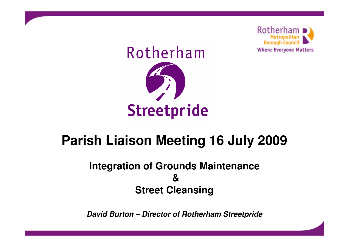

# Rotherham

# **Streetpride**

# **Parish Liaison Meeting 16 July 2009**

#### **Integration of Grounds Maintenance & Street Cleansing**

**David Burton – Director of Rotherham Streetpride**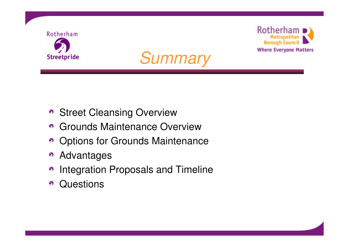





- **Street Cleansing Overview**
- **6** Grounds Maintenance Overview
- Options for Grounds Maintenance
- Advantages  $\Omega$
- Integration Proposals and Timeline  $\odot$
- **Questions**  $\bullet$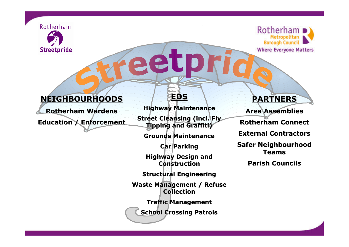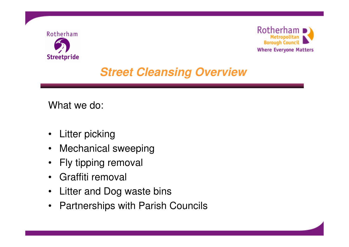



# **Street Cleansing Overview**

What we do:

- Litter picking
- Mechanical sweeping
- Fly tipping removal
- Graffiti removal
- Litter and Dog waste bins
- Partnerships with Parish Councils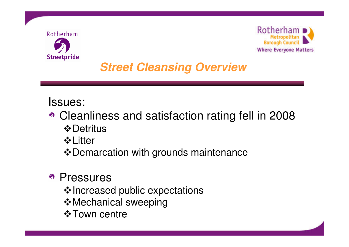



# **Street Cleansing Overview**

#### Issues:

- Cleanliness and satisfaction rating fell in 2008 **☆** Detritus
	- **↓ Litter**
	- ❖ Demarcation with grounds maintenance

#### • Pressures

- ❖ Increased public expectations
- **Mechanical sweeping**
- **☆ Town centre**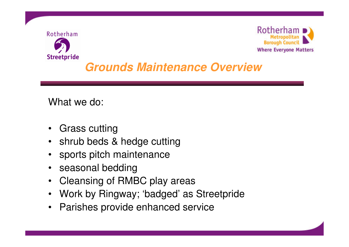



# **Grounds Maintenance Overview**

What we do:

- Grass cutting
- shrub beds & hedge cutting
- sports pitch maintenance
- seasonal bedding
- Cleansing of RMBC play areas
- Work by Ringway; 'badged' as Streetpride
- Parishes provide enhanced service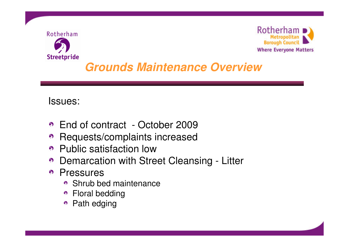



# **Grounds Maintenance Overview**

#### Issues:

- End of contract October 2009
- Requests/complaints increased
- Public satisfaction low
- Demarcation with Street Cleansing Litter
- Pressures
	- Shrub bed maintenance
	- Floral bedding
	- Path edging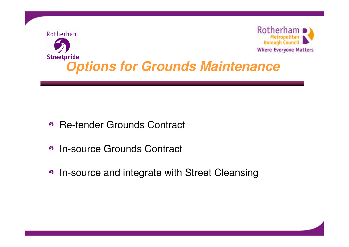

- Re-tender Grounds Contract
- In-source Grounds Contract  $\Omega$
- In-source and integrate with Street Cleansing

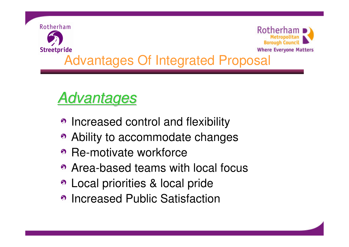

# Advantages

- Increased control and flexibility
- Ability to accommodate changes
- Re-motivate workforce
- Area-based teams with local focus
- Local priorities & local pride
- Increased Public Satisfaction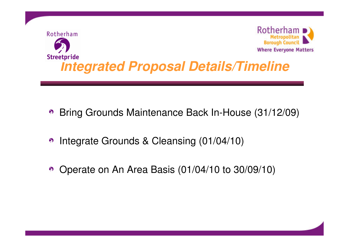

- Bring Grounds Maintenance Back In-House (31/12/09)  $\odot$
- Integrate Grounds & Cleansing (01/04/10)  $\odot$
- Operate on An Area Basis (01/04/10 to 30/09/10)